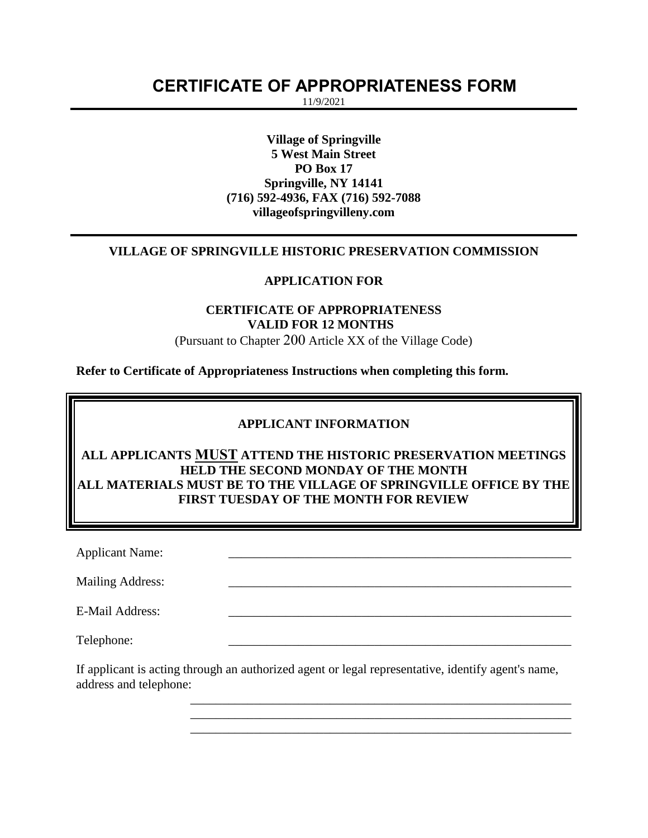# **CERTIFICATE OF APPROPRIATENESS FORM**

11/9/2021

**Village of Springville 5 West Main Street PO Box 17 Springville, NY 14141 (716) 592-4936, FAX (716) 592-7088 villageofspringvilleny.com**

## **VILLAGE OF SPRINGVILLE HISTORIC PRESERVATION COMMISSION**

#### **APPLICATION FOR**

## **CERTIFICATE OF APPROPRIATENESS VALID FOR 12 MONTHS**

(Pursuant to Chapter 200 Article XX of the Village Code)

**Refer to Certificate of Appropriateness Instructions when completing this form.**

#### **APPLICANT INFORMATION**

**ALL APPLICANTS MUST ATTEND THE HISTORIC PRESERVATION MEETINGS HELD THE SECOND MONDAY OF THE MONTH ALL MATERIALS MUST BE TO THE VILLAGE OF SPRINGVILLE OFFICE BY THE FIRST TUESDAY OF THE MONTH FOR REVIEW**

Applicant Name:

Mailing Address:

E-Mail Address:

Telephone:

If applicant is acting through an authorized agent or legal representative, identify agent's name, address and telephone:

> \_\_\_\_\_\_\_\_\_\_\_\_\_\_\_\_\_\_\_\_\_\_\_\_\_\_\_\_\_\_\_\_\_\_\_\_\_\_\_\_\_\_\_\_\_\_\_\_\_\_\_\_\_\_\_\_\_\_\_\_ \_\_\_\_\_\_\_\_\_\_\_\_\_\_\_\_\_\_\_\_\_\_\_\_\_\_\_\_\_\_\_\_\_\_\_\_\_\_\_\_\_\_\_\_\_\_\_\_\_\_\_\_\_\_\_\_\_\_\_\_ \_\_\_\_\_\_\_\_\_\_\_\_\_\_\_\_\_\_\_\_\_\_\_\_\_\_\_\_\_\_\_\_\_\_\_\_\_\_\_\_\_\_\_\_\_\_\_\_\_\_\_\_\_\_\_\_\_\_\_\_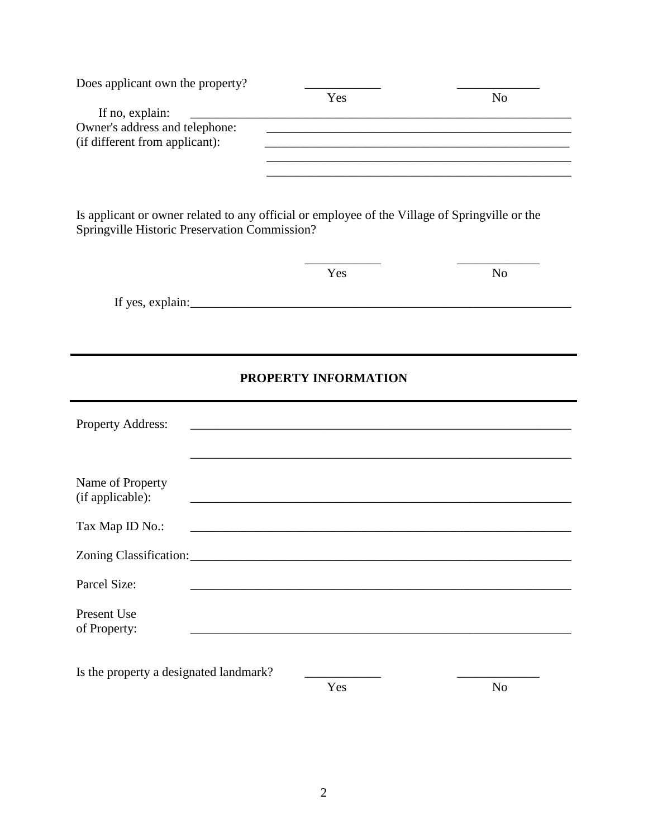| Does applicant own the property?                                                                                                                | Yes                                                                                                                                                                                 | N <sub>0</sub>                                                                                                   |
|-------------------------------------------------------------------------------------------------------------------------------------------------|-------------------------------------------------------------------------------------------------------------------------------------------------------------------------------------|------------------------------------------------------------------------------------------------------------------|
| If no, explain:                                                                                                                                 |                                                                                                                                                                                     |                                                                                                                  |
| Owner's address and telephone:<br>(if different from applicant):                                                                                | <u> 1989 - Johann Stoff, amerikansk politiker (* 1908)</u><br><u> 1989 - Johann Barn, amerikan berkema dalam berkema dalam berkema dalam berkema dalam berkema dalam berkema da</u> | <u> 1989 - Johann Stoff, amerikansk politiker (* 1908)</u>                                                       |
| Is applicant or owner related to any official or employee of the Village of Springville or the<br>Springville Historic Preservation Commission? |                                                                                                                                                                                     | and the control of the control of the control of the control of the control of the control of the control of the |
|                                                                                                                                                 | Yes                                                                                                                                                                                 | N <sub>o</sub>                                                                                                   |
|                                                                                                                                                 |                                                                                                                                                                                     |                                                                                                                  |
|                                                                                                                                                 |                                                                                                                                                                                     |                                                                                                                  |
|                                                                                                                                                 |                                                                                                                                                                                     |                                                                                                                  |
|                                                                                                                                                 | PROPERTY INFORMATION                                                                                                                                                                |                                                                                                                  |
|                                                                                                                                                 |                                                                                                                                                                                     |                                                                                                                  |
| Property Address:                                                                                                                               |                                                                                                                                                                                     |                                                                                                                  |
|                                                                                                                                                 |                                                                                                                                                                                     |                                                                                                                  |
|                                                                                                                                                 |                                                                                                                                                                                     |                                                                                                                  |
| Name of Property<br>(if applicable):                                                                                                            |                                                                                                                                                                                     |                                                                                                                  |
| Tax Map ID No.:                                                                                                                                 |                                                                                                                                                                                     |                                                                                                                  |
| Zoning Classification:                                                                                                                          |                                                                                                                                                                                     |                                                                                                                  |
|                                                                                                                                                 |                                                                                                                                                                                     |                                                                                                                  |
| Parcel Size:                                                                                                                                    |                                                                                                                                                                                     |                                                                                                                  |
| Present Use                                                                                                                                     |                                                                                                                                                                                     |                                                                                                                  |
| of Property:                                                                                                                                    |                                                                                                                                                                                     |                                                                                                                  |
|                                                                                                                                                 |                                                                                                                                                                                     |                                                                                                                  |
| Is the property a designated landmark?                                                                                                          | Yes                                                                                                                                                                                 | No                                                                                                               |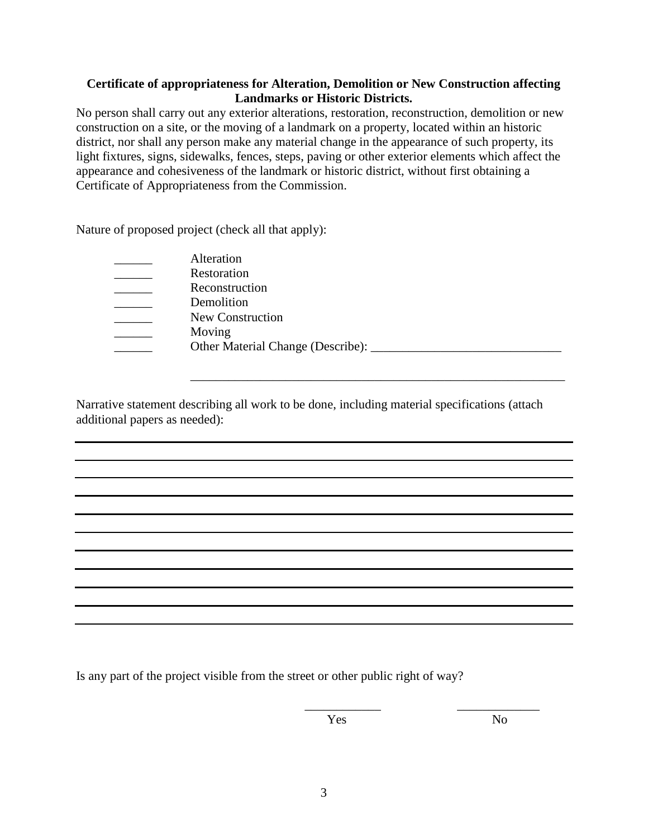## **Certificate of appropriateness for Alteration, Demolition or New Construction affecting Landmarks or Historic Districts.**

No person shall carry out any exterior alterations, restoration, reconstruction, demolition or new construction on a site, or the moving of a landmark on a property, located within an historic district, nor shall any person make any material change in the appearance of such property, its light fixtures, signs, sidewalks, fences, steps, paving or other exterior elements which affect the appearance and cohesiveness of the landmark or historic district, without first obtaining a Certificate of Appropriateness from the Commission.

Nature of proposed project (check all that apply):

| Alteration                        |
|-----------------------------------|
| Restoration                       |
| Reconstruction                    |
| Demolition                        |
| New Construction                  |
| Moving                            |
| Other Material Change (Describe): |
|                                   |

Narrative statement describing all work to be done, including material specifications (attach additional papers as needed):

\_\_\_\_\_\_\_\_\_\_\_\_\_\_\_\_\_\_\_\_\_\_\_\_\_\_\_\_\_\_\_\_\_\_\_\_\_\_\_\_\_\_\_\_\_\_\_\_\_\_\_\_\_\_\_\_\_\_\_

Is any part of the project visible from the street or other public right of way?

Yes No

\_\_\_\_\_\_\_\_\_\_\_\_ \_\_\_\_\_\_\_\_\_\_\_\_\_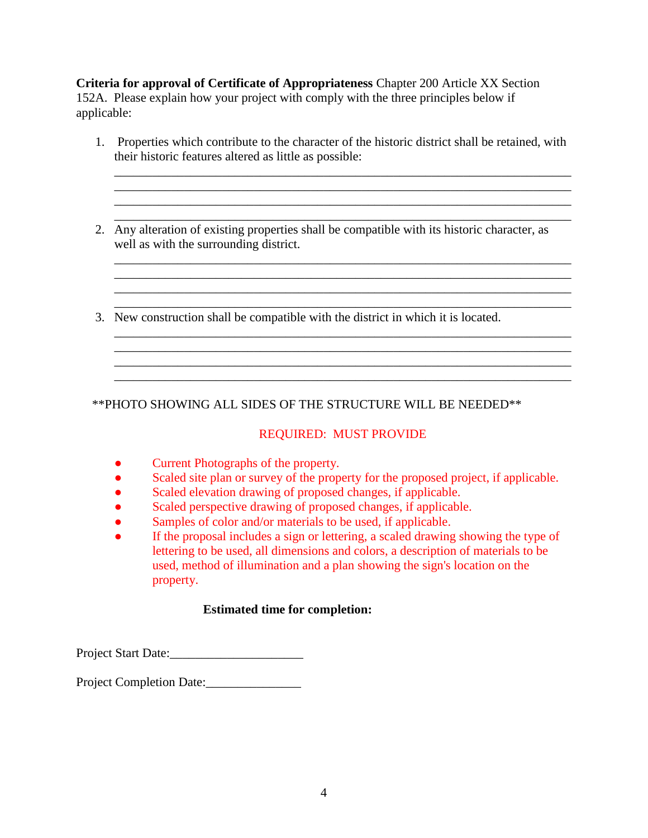**Criteria for approval of Certificate of Appropriateness** Chapter 200 Article XX Section 152A. Please explain how your project with comply with the three principles below if applicable:

1. Properties which contribute to the character of the historic district shall be retained, with their historic features altered as little as possible:

\_\_\_\_\_\_\_\_\_\_\_\_\_\_\_\_\_\_\_\_\_\_\_\_\_\_\_\_\_\_\_\_\_\_\_\_\_\_\_\_\_\_\_\_\_\_\_\_\_\_\_\_\_\_\_\_\_\_\_\_\_\_\_\_\_\_\_\_\_\_\_\_ \_\_\_\_\_\_\_\_\_\_\_\_\_\_\_\_\_\_\_\_\_\_\_\_\_\_\_\_\_\_\_\_\_\_\_\_\_\_\_\_\_\_\_\_\_\_\_\_\_\_\_\_\_\_\_\_\_\_\_\_\_\_\_\_\_\_\_\_\_\_\_\_ \_\_\_\_\_\_\_\_\_\_\_\_\_\_\_\_\_\_\_\_\_\_\_\_\_\_\_\_\_\_\_\_\_\_\_\_\_\_\_\_\_\_\_\_\_\_\_\_\_\_\_\_\_\_\_\_\_\_\_\_\_\_\_\_\_\_\_\_\_\_\_\_

\_\_\_\_\_\_\_\_\_\_\_\_\_\_\_\_\_\_\_\_\_\_\_\_\_\_\_\_\_\_\_\_\_\_\_\_\_\_\_\_\_\_\_\_\_\_\_\_\_\_\_\_\_\_\_\_\_\_\_\_\_\_\_\_\_\_\_\_\_\_\_\_ \_\_\_\_\_\_\_\_\_\_\_\_\_\_\_\_\_\_\_\_\_\_\_\_\_\_\_\_\_\_\_\_\_\_\_\_\_\_\_\_\_\_\_\_\_\_\_\_\_\_\_\_\_\_\_\_\_\_\_\_\_\_\_\_\_\_\_\_\_\_\_\_

\_\_\_\_\_\_\_\_\_\_\_\_\_\_\_\_\_\_\_\_\_\_\_\_\_\_\_\_\_\_\_\_\_\_\_\_\_\_\_\_\_\_\_\_\_\_\_\_\_\_\_\_\_\_\_\_\_\_\_\_\_\_\_\_\_\_\_\_\_\_\_\_

\_\_\_\_\_\_\_\_\_\_\_\_\_\_\_\_\_\_\_\_\_\_\_\_\_\_\_\_\_\_\_\_\_\_\_\_\_\_\_\_\_\_\_\_\_\_\_\_\_\_\_\_\_\_\_\_\_\_\_\_\_\_\_\_\_\_\_\_\_\_\_\_ \_\_\_\_\_\_\_\_\_\_\_\_\_\_\_\_\_\_\_\_\_\_\_\_\_\_\_\_\_\_\_\_\_\_\_\_\_\_\_\_\_\_\_\_\_\_\_\_\_\_\_\_\_\_\_\_\_\_\_\_\_\_\_\_\_\_\_\_\_\_\_\_

\_\_\_\_\_\_\_\_\_\_\_\_\_\_\_\_\_\_\_\_\_\_\_\_\_\_\_\_\_\_\_\_\_\_\_\_\_\_\_\_\_\_\_\_\_\_\_\_\_\_\_\_\_\_\_\_\_\_\_\_\_\_\_\_\_\_\_\_\_\_\_\_

- \_\_\_\_\_\_\_\_\_\_\_\_\_\_\_\_\_\_\_\_\_\_\_\_\_\_\_\_\_\_\_\_\_\_\_\_\_\_\_\_\_\_\_\_\_\_\_\_\_\_\_\_\_\_\_\_\_\_\_\_\_\_\_\_\_\_\_\_\_\_\_\_ 2. Any alteration of existing properties shall be compatible with its historic character, as well as with the surrounding district.
- 3. New construction shall be compatible with the district in which it is located.

\*\*PHOTO SHOWING ALL SIDES OF THE STRUCTURE WILL BE NEEDED\*\*

## REQUIRED: MUST PROVIDE

- Current Photographs of the property.
- Scaled site plan or survey of the property for the proposed project, if applicable.
- Scaled elevation drawing of proposed changes, if applicable.
- Scaled perspective drawing of proposed changes, if applicable.
- Samples of color and/or materials to be used, if applicable.
- If the proposal includes a sign or lettering, a scaled drawing showing the type of lettering to be used, all dimensions and colors, a description of materials to be used, method of illumination and a plan showing the sign's location on the property.

## **Estimated time for completion:**

Project Start Date:

Project Completion Date:\_\_\_\_\_\_\_\_\_\_\_\_\_\_\_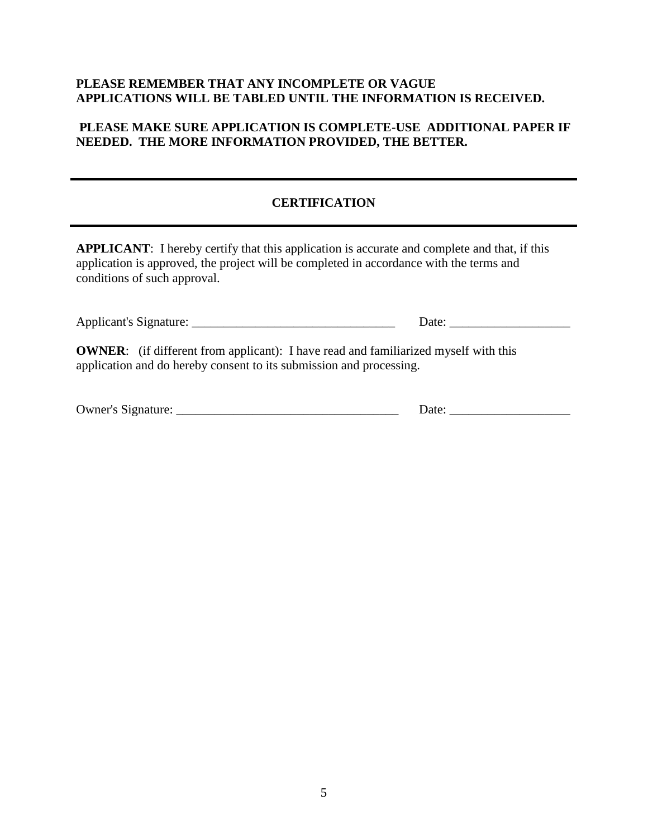## **PLEASE REMEMBER THAT ANY INCOMPLETE OR VAGUE APPLICATIONS WILL BE TABLED UNTIL THE INFORMATION IS RECEIVED.**

#### **PLEASE MAKE SURE APPLICATION IS COMPLETE-USE ADDITIONAL PAPER IF NEEDED. THE MORE INFORMATION PROVIDED, THE BETTER.**

## **CERTIFICATION**

**APPLICANT**: I hereby certify that this application is accurate and complete and that, if this application is approved, the project will be completed in accordance with the terms and conditions of such approval.

|                                                                                                                                                                   | Date: |
|-------------------------------------------------------------------------------------------------------------------------------------------------------------------|-------|
| <b>OWNER:</b> (if different from applicant): I have read and familiarized myself with this<br>application and do hereby consent to its submission and processing. |       |
|                                                                                                                                                                   | Date: |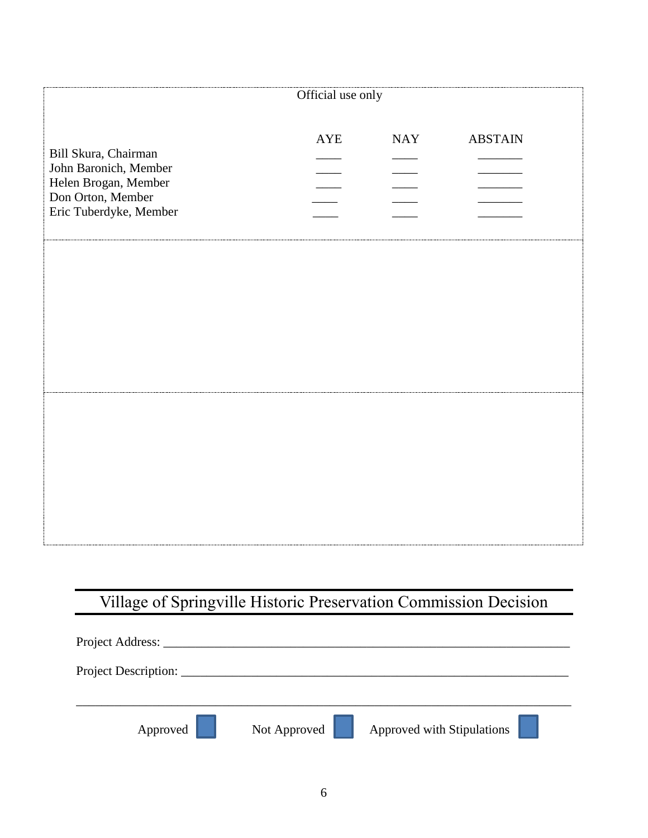| Official use only                                                                                                    |            |            |                |
|----------------------------------------------------------------------------------------------------------------------|------------|------------|----------------|
| Bill Skura, Chairman<br>John Baronich, Member<br>Helen Brogan, Member<br>Don Orton, Member<br>Eric Tuberdyke, Member | <b>AYE</b> | <b>NAY</b> | <b>ABSTAIN</b> |
|                                                                                                                      |            |            |                |
|                                                                                                                      |            |            |                |
|                                                                                                                      |            |            |                |

# Village of Springville Historic Preservation Commission Decision

| Project Address:     |              |                            |
|----------------------|--------------|----------------------------|
| Project Description: |              |                            |
|                      |              |                            |
| Approved             | Not Approved | Approved with Stipulations |